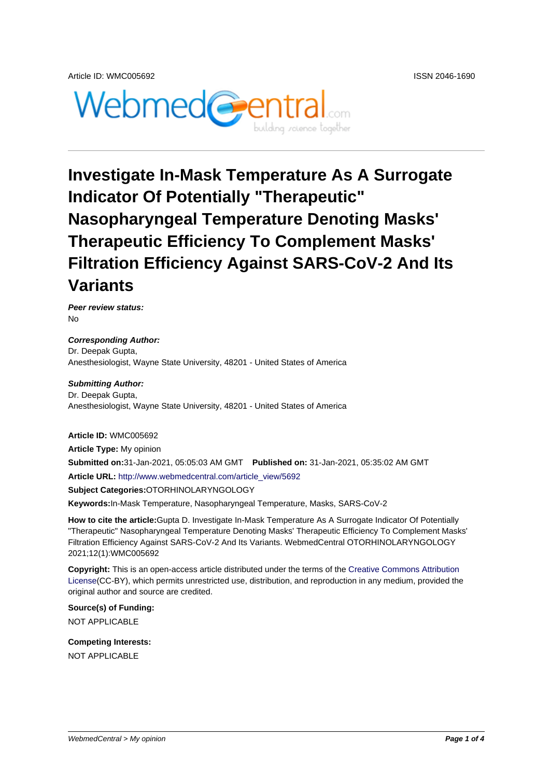

## **Investigate In-Mask Temperature As A Surrogate Indicator Of Potentially "Therapeutic" Nasopharyngeal Temperature Denoting Masks' Therapeutic Efficiency To Complement Masks' Filtration Efficiency Against SARS-CoV-2 And Its Variants**

**Peer review status:** No

**Corresponding Author:** Dr. Deepak Gupta, Anesthesiologist, Wayne State University, 48201 - United States of America

**Submitting Author:** Dr. Deepak Gupta, Anesthesiologist, Wayne State University, 48201 - United States of America

**Article ID:** WMC005692

**Article Type:** My opinion **Submitted on:**31-Jan-2021, 05:05:03 AM GMT **Published on:** 31-Jan-2021, 05:35:02 AM GMT **Article URL:** http://www.webmedcentral.com/article\_view/5692

**Subject Categories:**OTORHINOLARYNGOLOGY

**Keywords:**In-Mask Temperature, Nasopharyngeal Temperature, Masks, SARS-CoV-2

**How to cite the article:**[Gupta D. Investigate In-Mask Temperat](http://www.webmedcentral.com/article_view/5692)ure As A Surrogate Indicator Of Potentially "Therapeutic" Nasopharyngeal Temperature Denoting Masks' Therapeutic Efficiency To Complement Masks' Filtration Efficiency Against SARS-CoV-2 And Its Variants. WebmedCentral OTORHINOLARYNGOLOGY 2021;12(1):WMC005692

**Copyright:** This is an open-access article distributed under the terms of the Creative Commons Attribution License(CC-BY), which permits unrestricted use, distribution, and reproduction in any medium, provided the original author and source are credited.

**Source(s) of Funding:** [NOT AP](http://creativecommons.org/licenses/by/3.0/)PLICABLE

**Competing Interests:** NOT APPLICABLE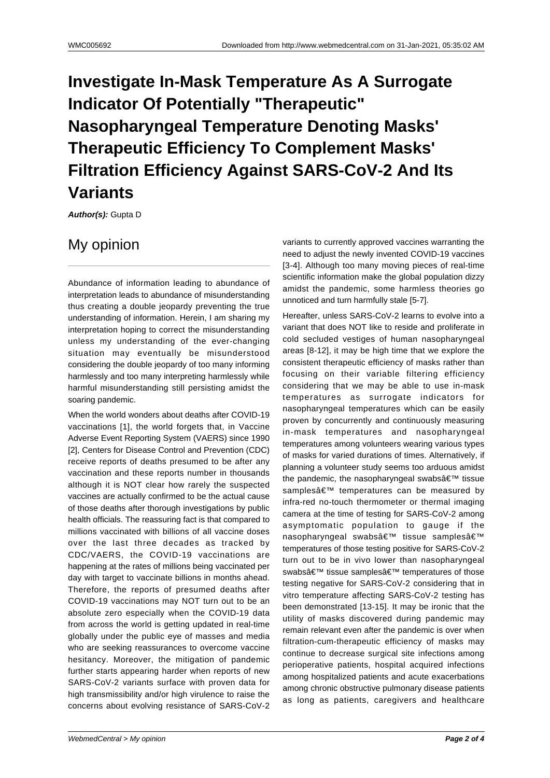## **Investigate In-Mask Temperature As A Surrogate Indicator Of Potentially "Therapeutic" Nasopharyngeal Temperature Denoting Masks' Therapeutic Efficiency To Complement Masks' Filtration Efficiency Against SARS-CoV-2 And Its Variants**

**Author(s):** Gupta D

## My opinion

Abundance of information leading to abundance of interpretation leads to abundance of misunderstanding thus creating a double jeopardy preventing the true understanding of information. Herein, I am sharing my interpretation hoping to correct the misunderstanding unless my understanding of the ever-changing situation may eventually be misunderstood considering the double jeopardy of too many informing harmlessly and too many interpreting harmlessly while harmful misunderstanding still persisting amidst the soaring pandemic.

When the world wonders about deaths after COVID-19 vaccinations [1], the world forgets that, in Vaccine Adverse Event Reporting System (VAERS) since 1990 [2], Centers for Disease Control and Prevention (CDC) receive reports of deaths presumed to be after any vaccination and these reports number in thousands although it is NOT clear how rarely the suspected vaccines are actually confirmed to be the actual cause of those deaths after thorough investigations by public health officials. The reassuring fact is that compared to millions vaccinated with billions of all vaccine doses over the last three decades as tracked by CDC/VAERS, the COVID-19 vaccinations are happening at the rates of millions being vaccinated per day with target to vaccinate billions in months ahead. Therefore, the reports of presumed deaths after COVID-19 vaccinations may NOT turn out to be an absolute zero especially when the COVID-19 data from across the world is getting updated in real-time globally under the public eye of masses and media who are seeking reassurances to overcome vaccine hesitancy. Moreover, the mitigation of pandemic further starts appearing harder when reports of new SARS-CoV-2 variants surface with proven data for high transmissibility and/or high virulence to raise the concerns about evolving resistance of SARS-CoV-2 variants to currently approved vaccines warranting the need to adjust the newly invented COVID-19 vaccines [3-4]. Although too many moving pieces of real-time scientific information make the global population dizzy amidst the pandemic, some harmless theories go unnoticed and turn harmfully stale [5-7].

Hereafter, unless SARS-CoV-2 learns to evolve into a variant that does NOT like to reside and proliferate in cold secluded vestiges of human nasopharyngeal areas [8-12], it may be high time that we explore the consistent therapeutic efficiency of masks rather than focusing on their variable filtering efficiency considering that we may be able to use in-mask temperatures as surrogate indicators for nasopharyngeal temperatures which can be easily proven by concurrently and continuously measuring in-mask temperatures and nasopharyngeal temperatures among volunteers wearing various types of masks for varied durations of times. Alternatively, if planning a volunteer study seems too arduous amidst the pandemic, the nasopharyngeal swabs $\hat{a} \in \mathbb{M}$  tissue samples' temperatures can be measured by infra-red no-touch thermometer or thermal imaging camera at the time of testing for SARS-CoV-2 among asymptomatic population to gauge if the nasopharyngeal swabs' tissue samples' temperatures of those testing positive for SARS-CoV-2 turn out to be in vivo lower than nasopharyngeal swabs' tissue samples' temperatures of those testing negative for SARS-CoV-2 considering that in vitro temperature affecting SARS-CoV-2 testing has been demonstrated [13-15]. It may be ironic that the utility of masks discovered during pandemic may remain relevant even after the pandemic is over when filtration-cum-therapeutic efficiency of masks may continue to decrease surgical site infections among perioperative patients, hospital acquired infections among hospitalized patients and acute exacerbations among chronic obstructive pulmonary disease patients as long as patients, caregivers and healthcare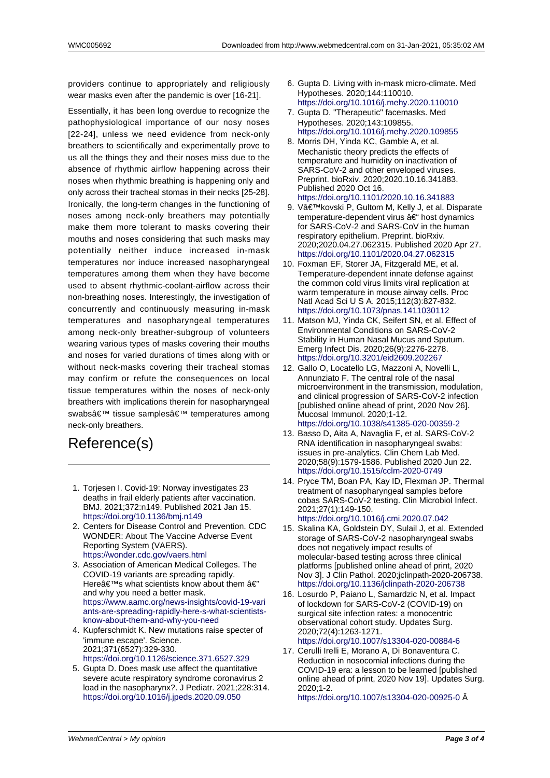providers continue to appropriately and religiously wear masks even after the pandemic is over [16-21].

Essentially, it has been long overdue to recognize the pathophysiological importance of our nosy noses [22-24], unless we need evidence from neck-only breathers to scientifically and experimentally prove to us all the things they and their noses miss due to the absence of rhythmic airflow happening across their noses when rhythmic breathing is happening only and only across their tracheal stomas in their necks [25-28]. Ironically, the long-term changes in the functioning of noses among neck-only breathers may potentially make them more tolerant to masks covering their mouths and noses considering that such masks may potentially neither induce increased in-mask temperatures nor induce increased nasopharyngeal temperatures among them when they have become used to absent rhythmic-coolant-airflow across their non-breathing noses. Interestingly, the investigation of concurrently and continuously measuring in-mask temperatures and nasopharyngeal temperatures among neck-only breather-subgroup of volunteers wearing various types of masks covering their mouths and noses for varied durations of times along with or without neck-masks covering their tracheal stomas may confirm or refute the consequences on local tissue temperatures within the noses of neck-only breathers with implications therein for nasopharyngeal swabs' tissue samples' temperatures among neck-only breathers.

## Reference(s)

- 1. Torjesen I. Covid-19: Norway investigates 23 deaths in frail elderly patients after vaccination. BMJ. 2021;372:n149. Published 2021 Jan 15. https://doi.org/10.1136/bmj.n149
- 2. Centers for Disease Control and Prevention. CDC WONDER: About The Vaccine Adverse Event Reporting System (VAERS). https://wonder.cdc.gov/vaers.html
- 3. [Association of American Medical](https://doi.org/10.1136/bmj.n149) Colleges. The COVID-19 variants are spreading rapidly. Here $\hat{a} \in \mathbb{N}$ s what scientists know about them  $\hat{a} \in \mathbb{N}$ and why you need a better mask. [https://www.aamc.org/news-insigh](https://wonder.cdc.gov/vaers.html)ts/covid-19-vari ants-are-spreading-rapidly-here-s-what-scientistsknow-about-them-and-why-you-need
- 4. Kupferschmidt K. New mutations raise specter of 'immune escape'. Science. [2021;371\(6527\):329-330.](https://www.aamc.org/news-insights/covid-19-variants-are-spreading-rapidly-here-s-what-scientists-know-about-them-and-why-you-need) [https://doi.org/10.1126/science.371.6527.329](https://www.aamc.org/news-insights/covid-19-variants-are-spreading-rapidly-here-s-what-scientists-know-about-them-and-why-you-need)
- 5. [Gupta D. Does mask use affect the q](https://www.aamc.org/news-insights/covid-19-variants-are-spreading-rapidly-here-s-what-scientists-know-about-them-and-why-you-need)uantitative severe acute respiratory syndrome coronavirus 2 load in the nasopharynx?. J Pediatr. 2021;228:314. [https://doi.org/10.1016/j.jpeds.2020.09.050](https://doi.org/10.1126/science.371.6527.329)
- 6. Gupta D. Living with in-mask micro-climate. Med Hypotheses. 2020;144:110010. https://doi.org/10.1016/j.mehy.2020.110010
- 7. Gupta D. "Therapeutic" facemasks. Med Hypotheses. 2020;143:109855. https://doi.org/10.1016/j.mehy.2020.109855
- 8. Morris DH, Yinda KC, Gamble A, et al. [Mechanistic theory predicts the effects of](https://doi.org/10.1016/j.mehy.2020.110010) temperature and humidity on inactivation of SARS-CoV-2 and other enveloped viruses. [Preprint. bioRxiv. 2020;2020.10.16.341883.](https://doi.org/10.1016/j.mehy.2020.109855) Published 2020 Oct 16. https://doi.org/10.1101/2020.10.16.341883
- 9. V'kovski P, Gultom M, Kelly J, et al. Disparate temperature-dependent virus  $a \in \mathcal{F}$  host dynamics for SARS-CoV-2 and SARS-CoV in the human respiratory epithelium. Preprint. bioRxiv. [2020;2020.04.27.062315. Published 2020](https://doi.org/10.1101/2020.10.16.341883) Apr 27. https://doi.org/10.1101/2020.04.27.062315
- 10. Foxman EF, Storer JA, Fitzgerald ME, et al. Temperature-dependent innate defense against the common cold virus limits viral replication at warm temperature in mouse airway cells. Proc [Natl Acad Sci U S A. 2015;112\(3\):827-832.](https://doi.org/10.1101/2020.04.27.062315) https://doi.org/10.1073/pnas.1411030112
- 11. Matson MJ, Yinda CK, Seifert SN, et al. Effect of Environmental Conditions on SARS-CoV-2 Stability in Human Nasal Mucus and Sputum. Emerg Infect Dis. 2020;26(9):2276-2278. [https://doi.org/10.3201/eid2609.202267](https://doi.org/10.1073/pnas.1411030112)
- 12. Gallo O, Locatello LG, Mazzoni A, Novelli L, Annunziato F. The central role of the nasal microenvironment in the transmission, modulation, and clinical progression of SARS-CoV-2 infection [\[published online ahead of print, 2020 N](https://doi.org/10.3201/eid2609.202267)ov 26]. Mucosal Immunol. 2020;1-12. https://doi.org/10.1038/s41385-020-00359-2
- 13. Basso D, Aita A, Navaglia F, et al. SARS-CoV-2 RNA identification in nasopharyngeal swabs: issues in pre-analytics. Clin Chem Lab Med. 2020;58(9):1579-1586. Published 2020 Jun 22. [https://doi.org/10.1515/cclm-2020-0749](https://doi.org/10.1038/s41385-020-00359-2)
- 14. Pryce TM, Boan PA, Kay ID, Flexman JP. Thermal treatment of nasopharyngeal samples before cobas SARS-CoV-2 testing. Clin Microbiol Infect. 2021;27(1):149-150. [https://doi.org/10.1016/j.cmi.2020.07.04](https://doi.org/10.1515/cclm-2020-0749)2
- 15. Skalina KA, Goldstein DY, Sulail J, et al. Extended storage of SARS-CoV-2 nasopharyngeal swabs does not negatively impact results of molecular-based testing across three clinical [platforms \[published online ahead of print](https://doi.org/10.1016/j.cmi.2020.07.042), 2020 Nov 3]. J Clin Pathol. 2020;jclinpath-2020-206738. https://doi.org/10.1136/jclinpath-2020-206738
- 16. Losurdo P, Paiano L, Samardzic N, et al. Impact of lockdown for SARS-CoV-2 (COVID-19) on surgical site infection rates: a monocentric observational cohort study. Updates Surg. [2020;72\(4\):1263-1271.](https://doi.org/10.1136/jclinpath-2020-206738) https://doi.org/10.1007/s13304-020-00884-6
- 17. Cerulli Irelli E, Morano A, Di Bonaventura C. Reduction in nosocomial infections during the COVID-19 era: a lesson to be learned [published online ahead of print, 2020 Nov 19]. Updates Surg. [2020;1-2.](https://doi.org/10.1007/s13304-020-00884-6)

https://doi.org/10.1007/s13304-020-00925-0 Â